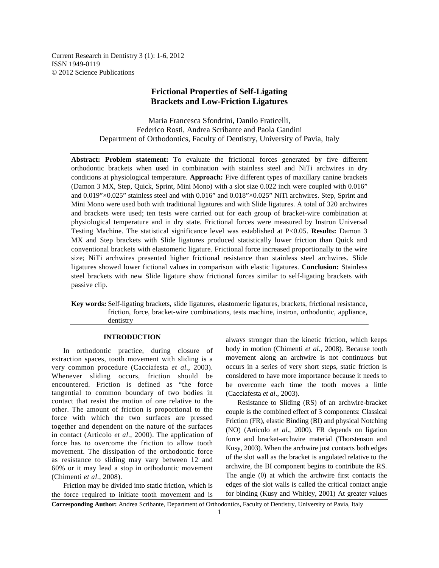Current Research in Dentistry 3 (1): 1-6, 2012 ISSN 1949-0119 © 2012 Science Publications

# **Frictional Properties of Self-Ligating Brackets and Low-Friction Ligatures**

Maria Francesca Sfondrini, Danilo Fraticelli, Federico Rosti, Andrea Scribante and Paola Gandini Department of Orthodontics, Faculty of Dentistry, University of Pavia, Italy

**Abstract: Problem statement:** To evaluate the frictional forces generated by five different orthodontic brackets when used in combination with stainless steel and NiTi archwires in dry conditions at physiological temperature. **Approach:** Five different types of maxillary canine brackets (Damon 3 MX, Step, Quick, Sprint, Mini Mono) with a slot size 0.022 inch were coupled with 0.016" and  $0.019$ "×0.025" stainless steel and with  $0.016$ " and  $0.018$ "×0.025" NiTi archwires. Step, Sprint and Mini Mono were used both with traditional ligatures and with Slide ligatures. A total of 320 archwires and brackets were used; ten tests were carried out for each group of bracket-wire combination at physiological temperature and in dry state. Frictional forces were measured by Instron Universal Testing Machine. The statistical significance level was established at P<0.05. **Results:** Damon 3 MX and Step brackets with Slide ligatures produced statistically lower friction than Quick and conventional brackets with elastomeric ligature. Frictional force increased proportionally to the wire size; NiTi archwires presented higher frictional resistance than stainless steel archwires. Slide ligatures showed lower fictional values in comparison with elastic ligatures. **Conclusion:** Stainless steel brackets with new Slide ligature show frictional forces similar to self-ligating brackets with passive clip.

**Key words:** Self-ligating brackets, slide ligatures, elastomeric ligatures, brackets, frictional resistance, friction, force, bracket-wire combinations, tests machine, instron, orthodontic, appliance, dentistry

## **INTRODUCTION**

 In orthodontic practice, during closure of extraction spaces, tooth movement with sliding is a very common procedure (Cacciafesta *et al*., 2003). Whenever sliding occurs, friction should be encountered. Friction is defined as "the force tangential to common boundary of two bodies in contact that resist the motion of one relative to the other. The amount of friction is proportional to the force with which the two surfaces are pressed together and dependent on the nature of the surfaces in contact (Articolo *et al*., 2000). The application of force has to overcome the friction to allow tooth movement. The dissipation of the orthodontic force as resistance to sliding may vary between 12 and 60% or it may lead a stop in orthodontic movement (Chimenti *et al*., 2008).

 Friction may be divided into static friction, which is the force required to initiate tooth movement and is

always stronger than the kinetic friction, which keeps body in motion (Chimenti *et al*., 2008). Because tooth movement along an archwire is not continuous but occurs in a series of very short steps, static friction is considered to have more importance because it needs to be overcome each time the tooth moves a little (Cacciafesta *et al*., 2003).

 Resistance to Sliding (RS) of an archwire-bracket couple is the combined effect of 3 components: Classical Friction (FR), elastic Binding (BI) and physical Notching (NO) (Articolo *et al*., 2000). FR depends on ligation force and bracket-archwire material (Thorstenson and Kusy, 2003). When the archwire just contacts both edges of the slot wall as the bracket is angulated relative to the archwire, the BI component begins to contribute the RS. The angle  $(\theta)$  at which the archwire first contacts the edges of the slot walls is called the critical contact angle for binding (Kusy and Whitley, 2001) At greater values

**Corresponding Author:** Andrea Scribante, Department of Orthodontics, Faculty of Dentistry, University of Pavia, Italy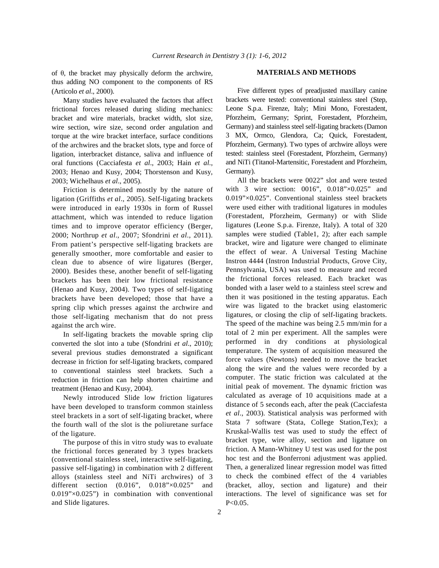of θ, the bracket may physically deform the archwire, thus adding NO component to the components of RS (Articolo *et al*., 2000).

 Many studies have evaluated the factors that affect frictional forces released during sliding mechanics: bracket and wire materials, bracket width, slot size, wire section, wire size, second order angulation and torque at the wire bracket interface, surface conditions of the archwires and the bracket slots, type and force of ligation, interbracket distance, saliva and influence of oral functions (Cacciafesta *et al*., 2003; Hain *et al*., 2003; Henao and Kusy, 2004; Thorstenson and Kusy, 2003; Wichelhaus *et al*., 2005).

 Friction is determined mostly by the nature of ligation (Griffiths *et al*., 2005). Self-ligating brackets were introduced in early 1930s in form of Russel attachment, which was intended to reduce ligation times and to improve operator efficiency (Berger, 2000; Northrup *et al*., 2007; Sfondrini *et al*., 2011). From patient's perspective self-ligating brackets are generally smoother, more comfortable and easier to clean due to absence of wire ligatures (Berger, 2000). Besides these, another benefit of self-ligating brackets has been their low frictional resistance (Henao and Kusy, 2004). Two types of self-ligating brackets have been developed; those that have a spring clip which presses against the archwire and those self-ligating mechanism that do not press against the arch wire.

 In self-ligating brackets the movable spring clip converted the slot into a tube (Sfondrini *et al*., 2010); several previous studies demonstrated a significant decrease in friction for self-ligating brackets, compared to conventional stainless steel brackets. Such a reduction in friction can help shorten chairtime and treatment (Henao and Kusy, 2004).

 Newly introduced Slide low friction ligatures have been developed to transform common stainless steel brackets in a sort of self-ligating bracket, where the fourth wall of the slot is the poliuretane surface of the ligature.

 The purpose of this in vitro study was to evaluate the frictional forces generated by 3 types brackets (conventional stainless steel, interactive self-ligating, passive self-ligating) in combination with 2 different alloys (stainless steel and NiTi archwires) of 3 different section (0.016", 0.018"×0.025" and 0.019"×0.025") in combination with conventional and Slide ligatures.

## **MATERIALS AND METHODS**

 Five different types of preadjusted maxillary canine brackets were tested: conventional stainless steel (Step, Leone S.p.a. Firenze, Italy; Mini Mono, Forestadent, Pforzheim, Germany; Sprint, Forestadent, Pforzheim, Germany) and stainless steel self-ligating brackets (Damon 3 MX, Ormco, Glendora, Ca; Quick, Forestadent, Pforzheim, Germany). Two types of archwire alloys were tested: stainless steel (Forestadent, Pforzheim, Germany) and NiTi (Titanol-Martensitic, Forestadent and Pforzheim, Germany).

 All the brackets were 0022" slot and were tested with 3 wire section: 0016", 0.018"×0.025" and 0.019"×0.025". Conventional stainless steel brackets were used either with traditional ligatures in modules (Forestadent, Pforzheim, Germany) or with Slide ligatures (Leone S.p.a. Firenze, Italy). A total of 320 samples were studied (Table1, 2); after each sample bracket, wire and ligature were changed to eliminate the effect of wear. A Universal Testing Machine Instron 4444 (Instron Industrial Products, Grove City, Pennsylvania, USA) was used to measure and record the frictional forces released. Each bracket was bonded with a laser weld to a stainless steel screw and then it was positioned in the testing apparatus. Each wire was ligated to the bracket using elastomeric ligatures, or closing the clip of self-ligating brackets. The speed of the machine was being 2.5 mm/min for a total of 2 min per experiment. All the samples were performed in dry conditions at physiological temperature. The system of acquisition measured the force values (Newtons) needed to move the bracket along the wire and the values were recorded by a computer. The static friction was calculated at the initial peak of movement. The dynamic friction was calculated as average of 10 acquisitions made at a distance of 5 seconds each, after the peak (Cacciafesta *et al*., 2003). Statistical analysis was performed with Stata 7 software (Stata, College Station,Tex); a Kruskal-Wallis test was used to study the effect of bracket type, wire alloy, section and ligature on friction. A Mann-Whitney U test was used for the post hoc test and the Bonferroni adjustment was applied. Then, a generalized linear regression model was fitted to check the combined effect of the 4 variables (bracket, alloy, section and ligature) and their interactions. The level of significance was set for  $P < 0.05$ .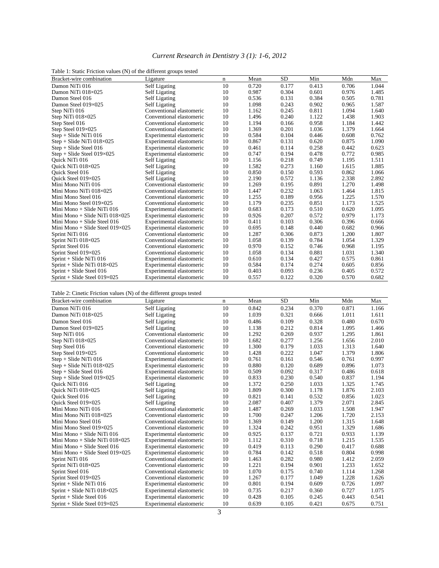# *Current Research in Dentistry 3 (1): 1-6, 2012*

|  |   |  | Table 1: Static Friction values (N) of the different groups tested |  |
|--|---|--|--------------------------------------------------------------------|--|
|  | . |  |                                                                    |  |

| rable 1. Static Friction values (TV) of the different groups tested |                          |    |       |           |       |       |       |
|---------------------------------------------------------------------|--------------------------|----|-------|-----------|-------|-------|-------|
| Bracket-wire combination                                            | Ligature                 | n  | Mean  | <b>SD</b> | Min   | Mdn   | Max   |
| Damon NiTi 016                                                      | Self Ligating            | 10 | 0.720 | 0.177     | 0.413 | 0.706 | 1.044 |
| Damon NiTi 018×025                                                  | Self Ligating            | 10 | 0.987 | 0.304     | 0.601 | 0.976 | 1.485 |
| Damon Steel 016                                                     | Self Ligating            | 10 | 0.536 | 0.131     | 0.384 | 0.505 | 0.781 |
| Damon Steel 019×025                                                 | Self Ligating            | 10 | 1.098 | 0.243     | 0.902 | 0.965 | 1.587 |
| Step NiTi 016                                                       | Conventional elastomeric | 10 | 1.162 | 0.245     | 0.811 | 1.094 | 1.640 |
| Step NiTi $018\times025$                                            | Conventional elastomeric | 10 | 1.496 | 0.240     | 1.122 | 1.438 | 1.903 |
| Step Steel 016                                                      | Conventional elastomeric | 10 | 1.194 | 0.166     | 0.958 | 1.184 | 1.442 |
| Step Steel 019×025                                                  | Conventional elastomeric | 10 | 1.369 | 0.201     | 1.036 | 1.379 | 1.664 |
| $Step + slide NiTi 016$                                             | Experimental elastomeric | 10 | 0.584 | 0.104     | 0.446 | 0.608 | 0.762 |
| $Step + slide NiTi 018 \times 025$                                  | Experimental elastomeric | 10 | 0.867 | 0.131     | 0.620 | 0.875 | 1.090 |
| $Step + slide Steel 016$                                            | Experimental elastomeric | 10 | 0.461 | 0.114     | 0.258 | 0.442 | 0.623 |
| $Step + slide Steel 019 \times 025$                                 | Experimental elastomeric | 10 | 0.747 | 0.194     | 0.478 | 0.772 | 0.985 |
| Quick NiTi 016                                                      | Self Ligating            | 10 | 1.156 | 0.218     | 0.749 | 1.195 | 1.511 |
| Quick NiTi 018×025                                                  | Self Ligating            | 10 | 1.582 | 0.273     | 1.160 | 1.615 | 1.885 |
| <b>Ouick Steel 016</b>                                              | Self Ligating            | 10 | 0.850 | 0.150     | 0.593 | 0.862 | 1.066 |
| Ouick Steel 019×025                                                 | Self Ligating            | 10 | 2.190 | 0.572     | 1.136 | 2.338 | 2.892 |
| Mini Mono NiTi 016                                                  | Conventional elastomeric | 10 | 1.269 | 0.195     | 0.891 | 1.270 | 1.498 |
| Mini Mono NiTi 018×025                                              | Conventional elastomeric | 10 | 1.447 | 0.232     | 1.063 | 1.464 | 1.815 |
| Mini Mono Steel 016                                                 | Conventional elastomeric | 10 | 1.255 | 0.189     | 0.956 | 1.225 | 1.570 |
| Mini Mono Steel 019×025                                             | Conventional elastomeric | 10 | 1.179 | 0.235     | 0.851 | 1.173 | 1.525 |
| Mini Mono + Slide NiTi 016                                          | Experimental elastomeric | 10 | 0.683 | 0.173     | 0.510 | 0.620 | 1.095 |
| Mini Mono + Slide NiTi $018\times025$                               | Experimental elastomeric | 10 | 0.926 | 0.207     | 0.572 | 0.979 | 1.173 |
| Mini Mono $+$ Slide Steel 016                                       | Experimental elastomeric | 10 | 0.411 | 0.103     | 0.306 | 0.396 | 0.666 |
| Mini Mono + Slide Steel $019\times025$                              | Experimental elastomeric | 10 | 0.695 | 0.148     | 0.440 | 0.682 | 0.966 |
| Sprint NiTi 016                                                     | Conventional elastomeric | 10 | 1.287 | 0.306     | 0.873 | 1.200 | 1.807 |
| Sprint NiTi 018×025                                                 | Conventional elastomeric | 10 | 1.058 | 0.139     | 0.784 | 1.054 | 1.329 |
| Sprint Steel 016                                                    | Conventional elastomeric | 10 | 0.970 | 0.152     | 0.746 | 0.968 | 1.195 |
| Sprint Steel 019×025                                                | Conventional elastomeric | 10 | 1.058 | 0.134     | 0.881 | 1.031 | 1.340 |
| Sprint + Slide NiTi 016                                             | Experimental elastomeric | 10 | 0.610 | 0.134     | 0.427 | 0.575 | 0.861 |
| Sprint + Slide NiTi $018\times025$                                  | Experimental elastomeric | 10 | 0.584 | 0.174     | 0.274 | 0.605 | 0.856 |
| $Sprint + Slide Steel 016$                                          | Experimental elastomeric | 10 | 0.403 | 0.093     | 0.236 | 0.405 | 0.572 |
| Sprint + Slide Steel $019\times025$                                 | Experimental elastomeric | 10 | 0.557 | 0.122     | 0.320 | 0.570 | 0.682 |

Table 2: Cinetic Friction values (N) of the different groups tested

| Bracket-wire combination               | Ligature                 | n  | Mean  | <b>SD</b> | Min   | Mdn   | Max   |
|----------------------------------------|--------------------------|----|-------|-----------|-------|-------|-------|
| Damon NiTi 016                         | Self Ligating            | 10 | 0.842 | 0.234     | 0.370 | 0.871 | 1.166 |
| Damon NiTi 018×025                     | Self Ligating            | 10 | 1.039 | 0.321     | 0.666 | 1.011 | 1.611 |
| Damon Steel 016                        | Self Ligating            | 10 | 0.486 | 0.109     | 0.328 | 0.480 | 0.670 |
| Damon Steel $019\times025$             | Self Ligating            | 10 | 1.138 | 0.212     | 0.814 | 1.095 | 1.466 |
| Step NiTi 016                          | Conventional elastomeric | 10 | 1.292 | 0.269     | 0.937 | 1.295 | 1.861 |
| Step NiTi 018×025                      | Conventional elastomeric | 10 | 1.682 | 0.277     | 1.256 | 1.656 | 2.010 |
| Step Steel 016                         | Conventional elastomeric | 10 | 1.300 | 0.179     | 1.033 | 1.313 | 1.640 |
| Step Steel $019\times025$              | Conventional elastomeric | 10 | 1.428 | 0.222     | 1.047 | 1.379 | 1.806 |
| $Step + slide NiTi 016$                | Experimental elastomeric | 10 | 0.761 | 0.161     | 0.546 | 0.761 | 0.997 |
| $Step + slide NiTi 018 \times 025$     | Experimental elastomeric | 10 | 0.880 | 0.120     | 0.689 | 0.896 | 1.073 |
| $Step + slide Steel 016$               | Experimental elastomeric | 10 | 0.509 | 0.092     | 0.317 | 0.486 | 0.618 |
| $Step + slide Steel 019 \times 025$    | Experimental elastomeric | 10 | 0.833 | 0.230     | 0.540 | 0.837 | 1.194 |
| Quick NiTi 016                         | Self Ligating            | 10 | 1.372 | 0.250     | 1.033 | 1.325 | 1.745 |
| Ouick NiTi 018×025                     | Self Ligating            | 10 | 1.809 | 0.300     | 1.178 | 1.876 | 2.103 |
| <b>Ouick Steel 016</b>                 | Self Ligating            | 10 | 0.821 | 0.141     | 0.532 | 0.856 | 1.023 |
| Ouick Steel 019×025                    | Self Ligating            | 10 | 2.087 | 0.407     | 1.379 | 2.071 | 2.845 |
| Mini Mono NiTi 016                     | Conventional elastomeric | 10 | 1.487 | 0.269     | 1.033 | 1.508 | 1.947 |
| Mini Mono NiTi 018×025                 | Conventional elastomeric | 10 | 1.700 | 0.247     | 1.206 | 1.720 | 2.153 |
| Mini Mono Steel 016                    | Conventional elastomeric | 10 | 1.369 | 0.149     | 1.200 | 1.315 | 1.648 |
| Mini Mono Steel 019×025                | Conventional elastomeric | 10 | 1.324 | 0.242     | 0.951 | 1.329 | 1.686 |
| Mini Mono + Slide Ni $Ti$ 016          | Experimental elastomeric | 10 | 0.925 | 0.137     | 0.721 | 0.933 | 1.139 |
| Mini Mono + Slide NiTi $018\times025$  | Experimental elastomeric | 10 | 1.112 | 0.310     | 0.718 | 1.215 | 1.535 |
| Mini Mono $+$ Slide Steel 016          | Experimental elastomeric | 10 | 0.419 | 0.113     | 0.290 | 0.417 | 0.688 |
| Mini Mono + Slide Steel $019\times025$ | Experimental elastomeric | 10 | 0.784 | 0.142     | 0.518 | 0.804 | 0.998 |
| Sprint NiTi 016                        | Conventional elastomeric | 10 | 1.463 | 0.282     | 0.980 | 1.412 | 2.059 |
| Sprint NiTi 018×025                    | Conventional elastomeric | 10 | 1.221 | 0.194     | 0.901 | 1.233 | 1.652 |
| Sprint Steel 016                       | Conventional elastomeric | 10 | 1.070 | 0.175     | 0.740 | 1.114 | 1.268 |
| Sprint Steel 019×025                   | Conventional elastomeric | 10 | 1.267 | 0.177     | 1.049 | 1.228 | 1.626 |
| Sprint + Slide NiTi 016                | Experimental elastomeric | 10 | 0.801 | 0.194     | 0.609 | 0.726 | 1.097 |
| Sprint + Slide NiTi $018\times025$     | Experimental elastomeric | 10 | 0.735 | 0.217     | 0.360 | 0.727 | 1.075 |
| Sprint + Slide Steel 016               | Experimental elastomeric | 10 | 0.428 | 0.105     | 0.245 | 0.443 | 0.541 |
| Sprint + Slide Steel $019\times025$    | Experimental elastomeric | 10 | 0.639 | 0.105     | 0.421 | 0.675 | 0.751 |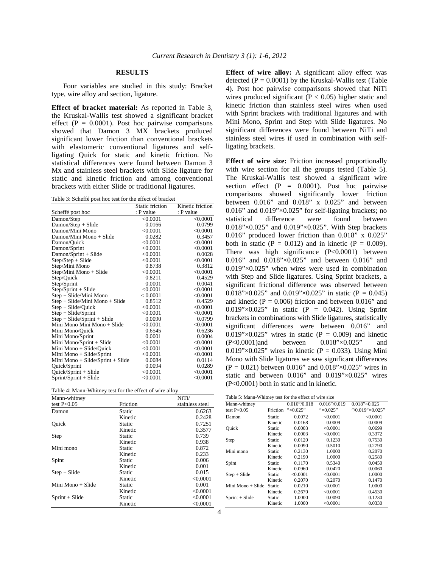# **RESULTS**

 Four variables are studied in this study: Bracket type, wire alloy and section, ligature.

**Effect of bracket material:** As reported in Table 3, the Kruskal-Wallis test showed a significant bracket effect ( $P = 0.0001$ ). Post hoc pairwise comparisons showed that Damon 3 MX brackets produced significant lower friction than conventional brackets with elastomeric conventional ligatures and selfligating Quick for static and kinetic friction. No statistical differences were found between Damon 3 Mx and stainless steel brackets with Slide ligature for static and kinetic friction and among conventional brackets with either Slide or traditional ligatures.

Table 3: Scheffé post hoc test for the effect of bracket

|                                  | Static friction | Kinetic friction |
|----------------------------------|-----------------|------------------|
| Scheffé post hoc                 | : P value       | : P value        |
| Damon/Step                       | < 0.0001        | < 0.0001         |
| $Damon/Step + Slide$             | 0.0166          | 0.0799           |
| Damon/Mini Mono                  | < 0.0001        | < 0.0001         |
| Damon/Mini Mono + Slide          | 0.0282          | 0.3457           |
| Damon/Quick                      | < 0.0001        | < 0.0001         |
| Damon/Sprint                     | < 0.0001        | < 0.0001         |
| Damon/Sprint + Slide             | < 0.0001        | 0.0028           |
| Step/Step + Slide                | < 0.0001        | < 0.0001         |
| Step/Mini Mono                   | 0.8738          | 0.3812           |
| Step/Mini Mono + Slide           | < 0.0001        | < 0.0001         |
| Step/Quick                       | 0.8211          | 0.4529           |
| Step/Sprint                      | 0.0001          | 0.0041           |
| $Step/Sprint + Slide$            | < 0.0001        | < 0.0001         |
| Step + Slide/Mini Mono           | < 0.0001        | < 0.0001         |
| Step + Slide/Mini Mono + Slide   | 0.8512          | 0.4529           |
| $Step + slide/Quick$             | < 0.0001        | < 0.0001         |
| $Step + Side/Sprint$             | < 0.0001        | < 0.0001         |
| $Step + slide/Sprint + Slide$    | 0.0090          | 0.0799           |
| Mini Mono Mini Mono + Slide      | < 0.0001        | < 0.0001         |
| Mini Mono/Quick                  | 0.6545          | 0.6236           |
| Mini Mono/Sprint                 | 0.0001          | 0.0004           |
| Mini Mono/Sprint + Slide         | < 0.0001        | < 0.0001         |
| Mini Mono + Slide/Quick          | < 0.0001        | < 0.0001         |
| Mini Mono + Slide/Sprint         | < 0.0001        | < 0.0001         |
| Mini Mono + Slide/Sprint + Slide | 0.0084          | 0.0114           |
| Quick/Sprint                     | 0.0094          | 0.0289           |
| $Quick/Sprint + Slide$           | < 0.0001        | < 0.0001         |
| Sprint/Sprint + Slide            | < 0.0001        | < 0.0001         |

| Mann-whitney      |          | NiTi/           |  |  |
|-------------------|----------|-----------------|--|--|
| test $P<0.05$     | Friction | stainless steel |  |  |
| Damon             | Static   | 0.6263          |  |  |
|                   | Kinetic  | 0.2428          |  |  |
| Ouick             | Static   | 0.7251          |  |  |
|                   | Kinetic  | 0.3577          |  |  |
| Step              | Static   | 0.739           |  |  |
|                   | Kinetic  | 0.938           |  |  |
| Mini mono         | Static   | 0.872           |  |  |
|                   | Kinetic  | 0.233           |  |  |
| Spint             | Static   | 0.006           |  |  |
|                   | Kinetic  | 0.001           |  |  |
| $Step + slide$    | Static   | 0.015           |  |  |
|                   | Kinetic  | < 0.0001        |  |  |
| Mini Mono + Slide | Static   | 0.001           |  |  |
|                   | Kinetic  | < 0.0001        |  |  |
| $Sprint + Slide$  | Static   | < 0.0001        |  |  |
|                   | Kinetic  | < 0.0001        |  |  |

**Effect of wire alloy:** A significant alloy effect was detected  $(P = 0.0001)$  by the Kruskal-Wallis test (Table 4). Post hoc pairwise comparisons showed that NiTi wires produced significant ( $P < 0.05$ ) higher static and kinetic friction than stainless steel wires when used with Sprint brackets with traditional ligatures and with Mini Mono, Sprint and Step with Slide ligatures. No significant differences were found between NiTi and stainless steel wires if used in combination with selfligating brackets.

**Effect of wire size:** Friction increased proportionally with wire section for all the groups tested (Table 5). The Kruskal-Wallis test showed a significant wire section effect  $(P = 0.0001)$ . Post hoc pairwise comparisons showed significantly lower friction between 0.016" and 0.018" x 0.025" and between 0.016" and  $0.019$ " $\times$ 0.025" for self-ligating brackets; no statistical difference were found between 0.018"×0.025" and 0.019"×0.025". With Step brackets 0.016" produced lower friction than 0.018" x 0.025" both in static  $(P = 0.012)$  and in kinetic  $(P = 0.009)$ . There was high significance (P<0.0001) between 0.016" and 0.018"×0.025" and between 0.016" and 0.019"×0.025" when wires were used in combination with Step and Slide ligatures. Using Sprint brackets, a significant frictional difference was observed between 0.018"×0.025" and 0.019"×0.025" in static (P = 0.045) and kinetic ( $P = 0.006$ ) friction and between 0.016" and  $0.019$ " $\times$ 0.025" in static (P = 0.042). Using Sprint brackets in combinations with Slide ligatures, statistically significant differences were between 0.016" and  $0.019$ "×0.025" wires in static (P = 0.009) and kinetic (P<0.0001)and between 0.018"×0.025" and 0.019" $\times$ 0.025" wires in kinetic (P = 0.033). Using Mini Mono with Slide ligatures we saw significant differences  $(P = 0.021)$  between 0.016" and 0.018"×0.025" wires in static and between 0.016" and 0.019"×0.025" wires (P<0.0001) both in static and in kinetic.

Table 5: Mann-Whitney test for the effect of wire size

| Mann-whitney      |          | $0.016\degree/0.018$ | $0.016$ "/0.019   | $0.018$ "×0.025 |
|-------------------|----------|----------------------|-------------------|-----------------|
| test $P<0.05$     | Friction | $" \times 0.025"$    | $" \times 0.025"$ | "/0.019"×0.025" |
| Damon             | Static   | 0.0072               | < 0.0001          | < 0.0001        |
|                   | Kinetic  | 0.0168               | 0.0009            | 0.0009          |
| Ouick             | Static   | 0.0003               | < 0.0001          | 0.0699          |
|                   | Kinetic  | 0.0003               | < 0.0001          | 0.3372          |
| Step              | Static   | 0.0120               | 0.1230            | 0.7530          |
|                   | Kinetic  | 0.0090               | 0.5010            | 0.2790          |
| Mini mono         | Static   | 0.2130               | 1.0000            | 0.2070          |
|                   | Kinetic  | 0.2190               | 1.0000            | 0.2580          |
| Spint             | Static   | 0.1170               | 0.5340            | 0.0450          |
|                   | Kinetic  | 0.0960               | 0.0420            | 0.0060          |
| $Step + slide$    | Static   | < 0.0001             | < 0.0001          | 1.0000          |
|                   | Kinetic  | 0.2070               | 0.2070            | 0.1470          |
| Mini Mono + Slide | Static   | 0.0210               | < 0.0001          | 1.0000          |
|                   | Kinetic  | 0.2670               | < 0.0001          | 0.4530          |
| $Sprint + Slide$  | Static   | 1.0000               | 0.0090            | 0.1230          |
|                   | Kinetic  | 1.0000               | < 0.0001          | 0.0330          |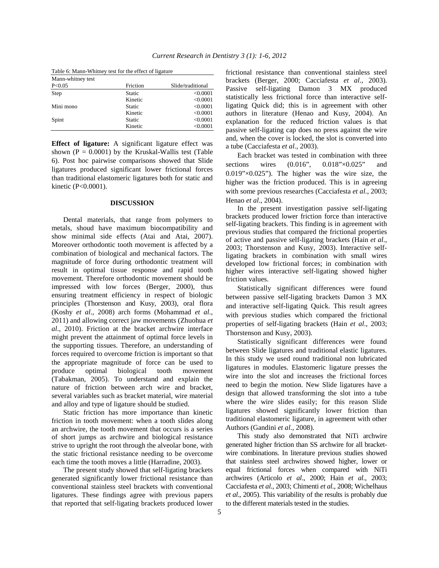| Mann-whitney test |          |                   |
|-------------------|----------|-------------------|
| P < 0.05          | Friction | Slide/traditional |
| Step              | Static   | < 0.0001          |
|                   | Kinetic  | < 0.0001          |
| Mini mono         | Static   | < 0.0001          |
|                   | Kinetic  | < 0.0001          |
| Spint             | Static   | < 0.0001          |
|                   | Kinetic  | < 0.0001          |

Table 6: Mann-Whitney test for the effect of ligature

**Effect of ligature:** A significant ligature effect was shown ( $P = 0.0001$ ) by the Kruskal-Wallis test (Table 6). Post hoc pairwise comparisons showed that Slide ligatures produced significant lower frictional forces than traditional elastomeric ligatures both for static and kinetic (P<0.0001).

### **DISCUSSION**

 Dental materials, that range from polymers to metals, shoud have maximum biocompatibility and show minimal side effects (Atai and Atai, 2007). Moreover orthodontic tooth movement is affected by a combination of biological and mechanical factors. The magnitude of force during orthodontic treatment will result in optimal tissue response and rapid tooth movement. Therefore orthodontic movement should be impressed with low forces (Berger, 2000), thus ensuring treatment efficiency in respect of biologic principles (Thorstenson and Kusy, 2003), oral flora (Koshy *et al*., 2008) arch forms (Mohammad *et al*., 2011) and allowing correct jaw movements (Zhuohua *et al*., 2010). Friction at the bracket archwire interface might prevent the attainment of optimal force levels in the supporting tissues. Therefore, an understanding of forces required to overcome friction is important so that the appropriate magnitude of force can be used to produce optimal biological tooth movement (Tabakman, 2005). To understand and explain the nature of friction between arch wire and bracket, several variables such as bracket material, wire material and alloy and type of ligature should be studied.

 Static friction has more importance than kinetic friction in tooth movement: when a tooth slides along an archwire, the tooth movement that occurs is a series of short jumps as archwire and biological resistance strive to upright the root through the alveolar bone, with the static frictional resistance needing to be overcome each time the tooth moves a little (Harradine, 2003).

 The present study showed that self-ligating brackets generated significantly lower frictional resistance than conventional stainless steel brackets with conventional ligatures. These findings agree with previous papers that reported that self-ligating brackets produced lower frictional resistance than conventional stainless steel brackets (Berger, 2000; Cacciafesta *et al*., 2003). Passive self-ligating Damon 3 MX produced statistically less frictional force than interactive selfligating Quick did; this is in agreement with other authors in literature (Henao and Kusy, 2004). An explanation for the reduced friction values is that passive self-ligating cap does no press against the wire and, when the cover is locked, the slot is converted into a tube (Cacciafesta *et al*., 2003).

 Each bracket was tested in combination with three sections wires (0.016", 0.018"×0.025" and 0.019"×0.025"). The higher was the wire size, the higher was the friction produced. This is in agreeing with some previous researches (Cacciafesta *et al*., 2003; Henao *et al*., 2004).

 In the present investigation passive self-ligating brackets produced lower friction force than interactive self-ligating brackets. This finding is in agreement with previous studies that compared the frictional properties of active and passive self-ligating brackets (Hain *et al*., 2003; Thorstenson and Kusy, 2003). Interactive selfligating brackets in combination with small wires developed low frictional forces; in combination with higher wires interactive self-ligating showed higher friction values.

 Statistically significant differences were found between passive self-ligating brackets Damon 3 MX and interactive self-ligating Quick. This result agrees with previous studies which compared the frictional properties of self-ligating brackets (Hain *et al*., 2003; Thorstenson and Kusy, 2003).

 Statistically significant differences were found between Slide ligatures and traditional elastic ligatures. In this study we used round traditional non lubricated ligatures in modules. Elastomeric ligature presses the wire into the slot and increases the frictional forces need to begin the motion. New Slide ligatures have a design that allowed transforming the slot into a tube where the wire slides easily; for this reason Slide ligatures showed significantly lower friction than traditional elastomeric ligature, in agreement with other Authors (Gandini *et al*., 2008).

 This study also demonstrated that NiTi archwire generated higher friction than SS archwire for all bracketwire combinations. In literature previous studies showed that stainless steel archwires showed higher, lower or equal frictional forces when compared with NiTi archwires (Articolo *et al*., 2000; Hain *et al*., 2003; Cacciafesta *et al*., 2003; Chimenti *et al*., 2008; Wichelhaus *et al*., 2005). This variability of the results is probably due to the different materials tested in the studies.